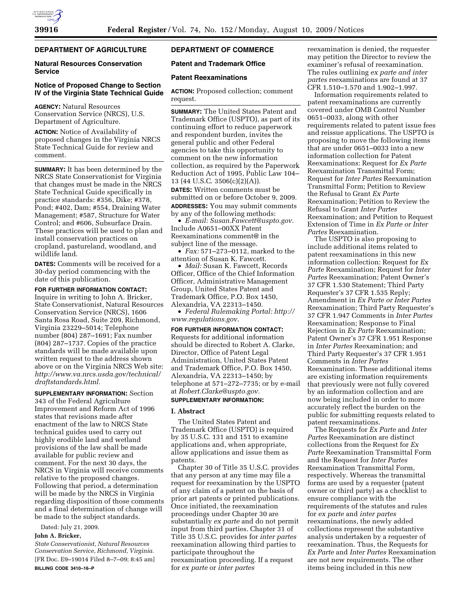# **DEPARTMENT OF AGRICULTURE**

## **Natural Resources Conservation Service**

# **Notice of Proposed Change to Section IV of the Virginia State Technical Guide**

**AGENCY:** Natural Resources Conservation Service (NRCS), U.S. Department of Agriculture.

**ACTION:** Notice of Availability of proposed changes in the Virginia NRCS State Technical Guide for review and comment.

**SUMMARY:** It has been determined by the NRCS State Conservationist for Virginia that changes must be made in the NRCS State Technical Guide specifically in practice standards: #356, Dike; #378, Pond; #402, Dam; #554, Draining Water Management; #587, Structure for Water Control; and #606, Subsurface Drain. These practices will be used to plan and install conservation practices on cropland, pastureland, woodland, and wildlife land.

**DATES:** Comments will be received for a 30-day period commencing with the date of this publication.

**FOR FURTHER INFORMATION CONTACT:**  Inquire in writing to John A. Bricker, State Conservationist, Natural Resources Conservation Service (NRCS), 1606 Santa Rosa Road, Suite 209, Richmond, Virginia 23229–5014; Telephone number (804) 287–1691; Fax number (804) 287–1737. Copies of the practice standards will be made available upon written request to the address shown above or on the Virginia NRCS Web site: *http://www.va.nrcs.usda.gov/technical/ draftstandards.html.* 

**SUPPLEMENTARY INFORMATION:** Section 343 of the Federal Agriculture Improvement and Reform Act of 1996 states that revisions made after enactment of the law to NRCS State technical guides used to carry out highly erodible land and wetland provisions of the law shall be made available for public review and comment. For the next 30 days, the NRCS in Virginia will receive comments relative to the proposed changes. Following that period, a determination will be made by the NRCS in Virginia regarding disposition of those comments and a final determination of change will be made to the subject standards.

Dated: July 21, 2009.

# **John A. Bricker,**

*State Conservationist, Natural Resources Conservation Service, Richmond, Virginia.*  [FR Doc. E9–19014 Filed 8–7–09; 8:45 am] **BILLING CODE 3410–16–P** 

# **DEPARTMENT OF COMMERCE**

### **Patent and Trademark Office**

#### **Patent Reexaminations**

**ACTION:** Proposed collection; comment request.

**SUMMARY:** The United States Patent and Trademark Office (USPTO), as part of its continuing effort to reduce paperwork and respondent burden, invites the general public and other Federal agencies to take this opportunity to comment on the new information collection, as required by the Paperwork Reduction Act of 1995, Public Law 104– 13 (44 U.S.C. 3506(c)(2)(A)). **DATES:** Written comments must be submitted on or before October 9, 2009.

**ADDRESSES:** You may submit comments by any of the following methods: • *E-mail: Susan.Fawcett@uspto.gov.* 

Include A0651–00XX Patent Reexaminations comment@ in the subject line of the message.

• *Fax:* 571–273–0112, marked to the attention of Susan K. Fawcett.

• *Mail:* Susan K. Fawcett, Records Officer, Office of the Chief Information Officer, Administrative Management Group, United States Patent and Trademark Office, P.O. Box 1450, Alexandria, VA 22313–1450.

• *Federal Rulemaking Portal: http:// www.regulations.gov*.

#### **FOR FURTHER INFORMATION CONTACT:**

Requests for additional information should be directed to Robert A. Clarke, Director, Office of Patent Legal Administration, United States Patent and Trademark Office, P.O. Box 1450, Alexandria, VA 22313–1450; by telephone at 571–272–7735; or by e-mail at *Robert.Clarke@uspto.gov.* 

# **SUPPLEMENTARY INFORMATION:**

### **I. Abstract**

The United States Patent and Trademark Office (USPTO) is required by 35 U.S.C. 131 and 151 to examine applications and, when appropriate, allow applications and issue them as patents.

Chapter 30 of Title 35 U.S.C. provides that any person at any time may file a request for reexamination by the USPTO of any claim of a patent on the basis of prior art patents or printed publications. Once initiated, the reexamination proceedings under Chapter 30 are substantially *ex parte* and do not permit input from third parties. Chapter 31 of Title 35 U.S.C. provides for *inter partes*  reexamination allowing third parties to participate throughout the reexamination proceeding. If a request for *ex parte* or *inter partes* 

reexamination is denied, the requester may petition the Director to review the examiner's refusal of reexamination. The rules outlining *ex parte and inter partes* reexaminations are found at 37 CFR 1.510–1.570 and 1.902–1.997.

Information requirements related to patent reexaminations are currently covered under OMB Control Number 0651–0033, along with other requirements related to patent issue fees and reissue applications. The USPTO is proposing to move the following items that are under 0651–0033 into a new information collection for Patent Reexaminations: Request for *Ex Parte*  Reexamination Transmittal Form; Request for *Inter Partes* Reexamination Transmittal Form; Petition to Review the Refusal to Grant *Ex Parte*  Reexamination; Petition to Review the Refusal to Grant *Inter Partes*  Reexamination; and Petition to Request Extension of Time in *Ex Parte or Inter Partes* Reexamination.

The USPTO is also proposing to include additional items related to patent reexaminations in this new information collection: Request for *Ex Parte* Reexamination; Request for *Inter Partes* Reexamination; Patent Owner's 37 CFR 1.530 Statement; Third Party Requester's 37 CFR 1.535 Reply; Amendment in *Ex Parte or Inter Partes*  Reexamination; Third Party Requester's 37 CFR 1.947 Comments in *Inter Partes*  Reexamination; Response to Final Rejection in *Ex Parte* Reexamination; Patent Owner's 37 CFR 1.951 Response in *Inter Partes* Reexamination; and Third Party Requester's 37 CFR 1.951 Comments in *Inter Partes*  Reexamination. These additional items are existing information requirements that previously were not fully covered by an information collection and are now being included in order to more accurately reflect the burden on the public for submitting requests related to patent reexaminations.

The Requests for *Ex Parte* and *Inter Partes* Reexamination are distinct collections from the Request for *Ex Parte* Reexamination Transmittal Form and the Request for *Inter Partes*  Reexamination Transmittal Form, respectively. Whereas the transmittal forms are used by a requester (patent owner or third party) as a checklist to ensure compliance with the requirements of the statutes and rules for *ex parte* and *inter partes*  reexaminations, the newly added collections represent the substantive analysis undertaken by a requester of reexamination. Thus, the Requests for *Ex Parte* and *Inter Partes* Reexamination are not new requirements. The other items being included in this new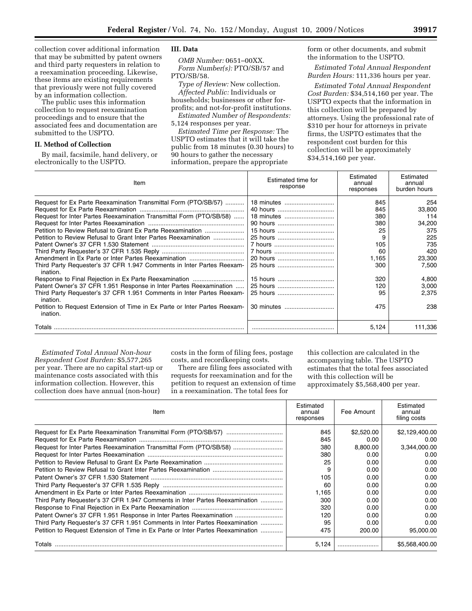collection cover additional information that may be submitted by patent owners and third party requesters in relation to a reexamination proceeding. Likewise, these items are existing requirements that previously were not fully covered by an information collection.

The public uses this information collection to request reexamination proceedings and to ensure that the associated fees and documentation are submitted to the USPTO.

#### **II. Method of Collection**

By mail, facsimile, hand delivery, or electronically to the USPTO.

# **III. Data**

*OMB Number:* 0651–00XX. *Form Number(s):* PTO/SB/57 and PTO/SB/58.

*Type of Review:* New collection. *Affected Public:* Individuals or households; businesses or other forprofits; and not-for-profit institutions.

*Estimated Number of Respondents:*  5,124 responses per year.

*Estimated Time per Response:* The USPTO estimates that it will take the public from 18 minutes (0.30 hours) to 90 hours to gather the necessary information, prepare the appropriate

form or other documents, and submit the information to the USPTO.

*Estimated Total Annual Respondent Burden Hours:* 111,336 hours per year.

*Estimated Total Annual Respondent Cost Burden:* \$34,514,160 per year. The USPTO expects that the information in this collection will be prepared by attorneys. Using the professional rate of \$310 per hour for attorneys in private firms, the USPTO estimates that the respondent cost burden for this collection will be approximately \$34,514,160 per year.

| Item                                                                                  | Estimated time for<br>response | Estimated<br>annual<br>responses | Estimated<br>annual<br>burden hours |
|---------------------------------------------------------------------------------------|--------------------------------|----------------------------------|-------------------------------------|
| Request for Ex Parte Reexamination Transmittal Form (PTO/SB/57)                       | 18 minutes                     | 845                              | 254                                 |
|                                                                                       | 40 hours                       | 845                              | 33,800                              |
| Request for Inter Partes Reexamination Transmittal Form (PTO/SB/58)                   | 18 minutes                     | 380                              | 114                                 |
|                                                                                       | 90 hours                       | 380                              | 34,200                              |
| Petition to Review Refusal to Grant Ex Parte Reexamination                            | 15 hours                       | 25                               | 375                                 |
| Petition to Review Refusal to Grant Inter Partes Reexamination                        | 25 hours                       | 9                                | 225                                 |
|                                                                                       |                                | 105                              | 735                                 |
|                                                                                       |                                | 60                               | 420                                 |
|                                                                                       | 20 hours                       | 1.165                            | 23,300                              |
| Third Party Requester's 37 CFR 1.947 Comments in Inter Partes Reexam-<br>ination.     | 25 hours                       | 300                              | 7,500                               |
|                                                                                       | 15 hours                       | 320                              | 4.800                               |
| Patent Owner's 37 CFR 1.951 Response in Inter Partes Reexamination                    | 25 hours                       | 120                              | 3,000                               |
| Third Party Requester's 37 CFR 1.951 Comments in Inter Partes Reexam-<br>ination.     | 25 hours                       | 95                               | 2,375                               |
| Petition to Request Extension of Time in Ex Parte or Inter Partes Reexam-<br>ination. | 30 minutes                     | 475                              | 238                                 |
| Totals                                                                                |                                | 5,124                            | 111,336                             |

*Estimated Total Annual Non-hour Respondent Cost Burden:* \$5,577,265 per year. There are no capital start-up or maintenance costs associated with this information collection. However, this collection does have annual (non-hour)

costs in the form of filing fees, postage costs, and recordkeeping costs.

There are filing fees associated with requests for reexamination and for the petition to request an extension of time in a reexamination. The total fees for

this collection are calculated in the accompanying table. The USPTO estimates that the total fees associated with this collection will be approximately \$5,568,400 per year.

| Item                                                                            | Estimated<br>annual<br>responses | Fee Amount | Estimated<br>annual<br>filing costs |
|---------------------------------------------------------------------------------|----------------------------------|------------|-------------------------------------|
|                                                                                 | 845                              | \$2,520,00 | \$2,129,400.00                      |
|                                                                                 | 845                              | 0.00       | 0.00                                |
| Request for Inter Partes Reexamination Transmittal Form (PTO/SB/58)             | 380                              | 8.800.00   | 3,344,000.00                        |
|                                                                                 | 380                              | 0.00       | 0.00                                |
|                                                                                 | 25                               | 0.00       | 0.00                                |
|                                                                                 | 9                                | 0.00       | 0.00                                |
|                                                                                 | 105                              | 0.00       | 0.00                                |
|                                                                                 | 60                               | 0.00       | 0.00                                |
|                                                                                 | 1,165                            | 0.00       | 0.00                                |
| Third Party Requester's 37 CFR 1.947 Comments in Inter Partes Reexamination     | 300                              | 0.00       | 0.00                                |
|                                                                                 | 320                              | 0.00       | 0.00                                |
| Patent Owner's 37 CFR 1.951 Response in Inter Partes Reexamination              | 120                              | 0.00       | 0.00                                |
| Third Party Requester's 37 CFR 1.951 Comments in Inter Partes Reexamination     | 95                               | 0.00       | 0.00                                |
| Petition to Request Extension of Time in Ex Parte or Inter Partes Reexamination | 475                              | 200.00     | 95,000.00                           |
| Totals                                                                          | 5.124                            |            | \$5.568.400.00                      |